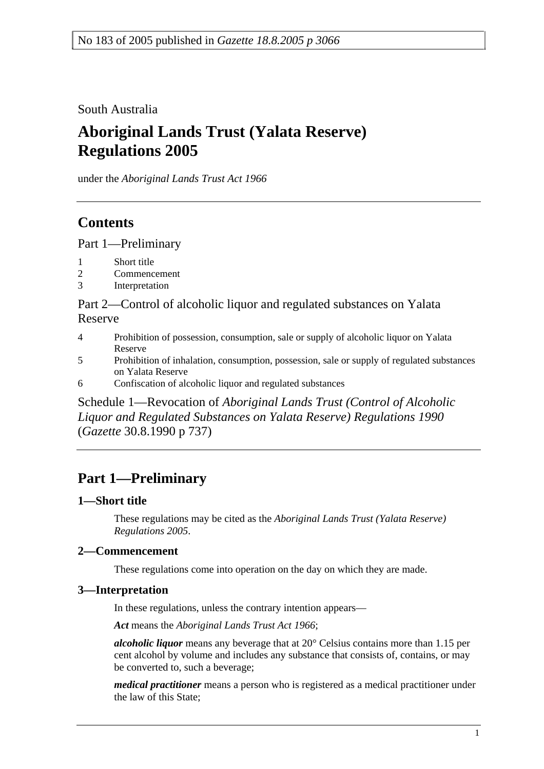South Australia

# **Aboriginal Lands Trust (Yalata Reserve) Regulations 2005**

under the *Aboriginal Lands Trust Act 1966*

## **Contents**

Part 1—Preliminary

- 1 Short title
- 2 Commencement
- 3 Interpretation

Part 2—Control of alcoholic liquor and regulated substances on Yalata Reserve

- 4 Prohibition of possession, consumption, sale or supply of alcoholic liquor on Yalata Reserve
- 5 Prohibition of inhalation, consumption, possession, sale or supply of regulated substances on Yalata Reserve
- 6 Confiscation of alcoholic liquor and regulated substances

Schedule 1—Revocation of *Aboriginal Lands Trust (Control of Alcoholic Liquor and Regulated Substances on Yalata Reserve) Regulations 1990* (*Gazette* 30.8.1990 p 737)

# **Part 1—Preliminary**

### **1—Short title**

These regulations may be cited as the *Aboriginal Lands Trust (Yalata Reserve) Regulations 2005*.

### **2—Commencement**

These regulations come into operation on the day on which they are made.

### **3—Interpretation**

In these regulations, unless the contrary intention appears—

*Act* means the *Aboriginal Lands Trust Act 1966*;

*alcoholic liquor* means any beverage that at 20° Celsius contains more than 1.15 per cent alcohol by volume and includes any substance that consists of, contains, or may be converted to, such a beverage;

*medical practitioner* means a person who is registered as a medical practitioner under the law of this State;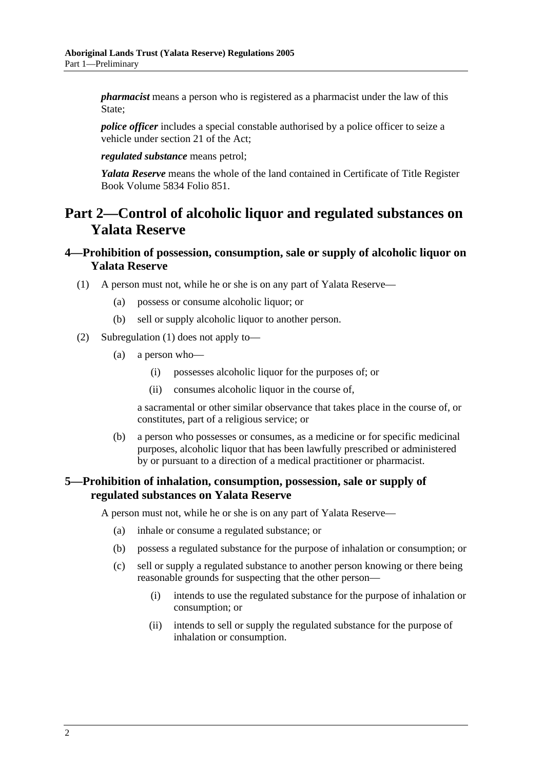*pharmacist* means a person who is registered as a pharmacist under the law of this State;

*police officer* includes a special constable authorised by a police officer to seize a vehicle under section 21 of the Act;

*regulated substance* means petrol;

*Yalata Reserve* means the whole of the land contained in Certificate of Title Register Book Volume 5834 Folio 851.

### **Part 2—Control of alcoholic liquor and regulated substances on Yalata Reserve**

### **4—Prohibition of possession, consumption, sale or supply of alcoholic liquor on Yalata Reserve**

- (1) A person must not, while he or she is on any part of Yalata Reserve—
	- (a) possess or consume alcoholic liquor; or
	- (b) sell or supply alcoholic liquor to another person.
- (2) Subregulation (1) does not apply to—
	- (a) a person who—
		- (i) possesses alcoholic liquor for the purposes of; or
		- (ii) consumes alcoholic liquor in the course of,

a sacramental or other similar observance that takes place in the course of, or constitutes, part of a religious service; or

 (b) a person who possesses or consumes, as a medicine or for specific medicinal purposes, alcoholic liquor that has been lawfully prescribed or administered by or pursuant to a direction of a medical practitioner or pharmacist.

#### **5—Prohibition of inhalation, consumption, possession, sale or supply of regulated substances on Yalata Reserve**

A person must not, while he or she is on any part of Yalata Reserve—

- (a) inhale or consume a regulated substance; or
- (b) possess a regulated substance for the purpose of inhalation or consumption; or
- (c) sell or supply a regulated substance to another person knowing or there being reasonable grounds for suspecting that the other person—
	- (i) intends to use the regulated substance for the purpose of inhalation or consumption; or
	- (ii) intends to sell or supply the regulated substance for the purpose of inhalation or consumption.